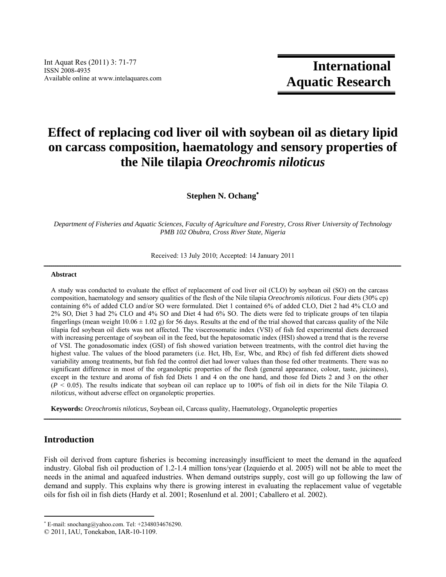# **Effect of replacing cod liver oil with soybean oil as dietary lipid on carcass composition, haematology and sensory properties of the Nile tilapia** *Oreochromis niloticus*

**Stephen N. Ochang**

*Department of Fisheries and Aquatic Sciences, Faculty of Agriculture and Forestry, Cross River University of Technology PMB 102 Obubra, Cross River State, Nigeria* 

Received: 13 July 2010; Accepted: 14 January 2011

# $A b struct \hat{a} = \hat{a} + \hat{b} = \hat{b}$

A study was conducted to evaluate the effect of replacement of cod liver oil (CLO) by soybean oil (SO) on the carcass composition, haematology and sensory qualities of the flesh of the Nile tilapia *Oreochromis niloticus*. Four diets (30% cp) containing 6% of added CLO and/or SO were formulated. Diet 1 contained 6% of added CLO, Diet 2 had 4% CLO and 2% SO, Diet 3 had 2% CLO and 4% SO and Diet 4 had 6% SO. The diets were fed to triplicate groups of ten tilapia fingerlings (mean weight  $10.06 \pm 1.02$  g) for 56 days. Results at the end of the trial showed that carcass quality of the Nile tilapia fed soybean oil diets was not affected. The viscerosomatic index (VSI) of fish fed experimental diets decreased with increasing percentage of soybean oil in the feed, but the hepatosomatic index (HSI) showed a trend that is the reverse of VSI. The gonadosomatic index (GSI) of fish showed variation between treatments, with the control diet having the highest value. The values of the blood parameters (i.e. Hct, Hb, Esr, Wbc, and Rbc) of fish fed different diets showed variability among treatments, but fish fed the control diet had lower values than those fed other treatments. There was no significant difference in most of the organoleptic properties of the flesh (general appearance, colour, taste, juiciness), except in the texture and aroma of fish fed Diets 1 and 4 on the one hand, and those fed Diets 2 and 3 on the other (*P* < 0.05). The results indicate that soybean oil can replace up to 100% of fish oil in diets for the Nile Tilapia *O. niloticus*, without adverse effect on organoleptic properties.

**Keywords:** *Oreochromis niloticus*, Soybean oil, Carcass quality, Haematology, Organoleptic properties

# **Introduction**

Fish oil derived from capture fisheries is becoming increasingly insufficient to meet the demand in the aquafeed industry. Global fish oil production of 1.2-1.4 million tons/year (Izquierdo et al. 2005) will not be able to meet the needs in the animal and aquafeed industries. When demand outstrips supply, cost will go up following the law of demand and supply. This explains why there is growing interest in evaluating the replacement value of vegetable oils for fish oil in fish diets (Hardy et al. 2001; Rosenlund et al. 2001; Caballero et al. 2002).

ــــــــــــــــــــــــــــــــــــــــــــــــــــــــــــــــــــــــــــــــــــــــــــــــــــــــــــــــــــــــــــــــــــــــــــــــــــــــــــــــــــــــــــــــــــــــــــ

 E-mail: snochang@yahoo.com. Tel: +2348034676290.

<sup>© 2011,</sup> IAU, Tonekabon, IAR-10-1109.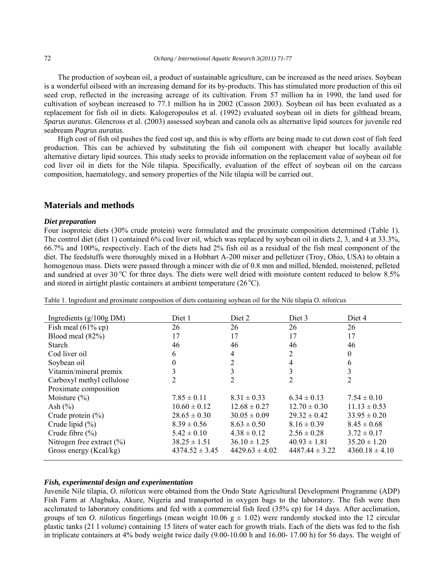The production of soybean oil, a product of sustainable agriculture, can be increased as the need arises. Soybean is a wonderful oilseed with an increasing demand for its by-products. This has stimulated more production of this oil seed crop, reflected in the increasing acreage of its cultivation. From 57 million ha in 1990, the land used for cultivation of soybean increased to 77.1 million ha in 2002 (Casson 2003). Soybean oil has been evaluated as a replacement for fish oil in diets. Kalogeropoulos et al. (1992) evaluated soybean oil in diets for gilthead bream, *Sparus auratus*. Glencross et al. (2003) assessed soybean and canola oils as alternative lipid sources for juvenile red seabream *Pagrus auratus*.

High cost of fish oil pushes the feed cost up, and this is why efforts are being made to cut down cost of fish feed production. This can be achieved by substituting the fish oil component with cheaper but locally available alternative dietary lipid sources. This study seeks to provide information on the replacement value of soybean oil for cod liver oil in diets for the Nile tilapia. Specifically, evaluation of the effect of soybean oil on the carcass composition, haematology, and sensory properties of the Nile tilapia will be carried out.

# **Materials and methods**

#### *Diet preparation*

Four isoproteic diets (30% crude protein) were formulated and the proximate composition determined (Table 1). The control diet (diet 1) contained 6% cod liver oil, which was replaced by soybean oil in diets 2, 3, and 4 at 33.3%, 66.7% and 100%, respectively. Each of the diets had 2% fish oil as a residual of the fish meal component of the diet. The feedstuffs were thoroughly mixed in a Hobbart A-200 mixer and pelletizer (Troy, Ohio, USA) to obtain a homogenous mass. Diets were passed through a mincer with die of 0.8 mm and milled, blended, moistened, pelleted and sundried at over 30  $^{\circ}$ C for three days. The diets were well dried with moisture content reduced to below 8.5% and stored in airtight plastic containers at ambient temperature  $(26^{\circ}C)$ .

| Ingredients $(g/100g\text{ DM})$ | Diet 1             | Diet 2             | Diet 3             | Diet 4             |
|----------------------------------|--------------------|--------------------|--------------------|--------------------|
| Fish meal $(61\%$ cp)            | 26                 | 26                 | 26                 | 26                 |
| Blood meal $(82%)$               | 17                 | 17                 | 17                 | 17                 |
| Starch                           | 46                 | 46                 | 46                 | 46                 |
| Cod liver oil                    | 6                  | 4                  | 2                  | $\boldsymbol{0}$   |
| Soybean oil                      | 0                  | 2                  | 4                  | 6                  |
| Vitamin/mineral premix           | 3                  |                    | 3                  | 3                  |
| Carboxyl methyl cellulose        | 2                  | $\mathfrak{D}$     | 2                  | 2                  |
| Proximate composition            |                    |                    |                    |                    |
| Moisture $(\% )$                 | $7.85 \pm 0.11$    | $8.31 \pm 0.33$    | $6.34 \pm 0.13$    | $7.54 \pm 0.10$    |
| Ash $(\% )$                      | $10.60 \pm 0.12$   | $12.68 \pm 0.27$   | $12.70 \pm 0.30$   | $11.13 \pm 0.53$   |
| Crude protein $(\% )$            | $28.65 \pm 0.30$   | $30.05 \pm 0.09$   | $29.32 \pm 0.42$   | $33.95 \pm 0.20$   |
| Crude lipid $(\%)$               | $8.39 \pm 0.56$    | $8.63 \pm 0.50$    | $8.16 \pm 0.39$    | $8.45 \pm 0.68$    |
| Crude fibre $(\% )$              | $5.42 \pm 0.10$    | $4.38 \pm 0.12$    | $2.56 \pm 0.28$    | $3.72 \pm 0.17$    |
| Nitrogen free extract $(\% )$    | $38.25 \pm 1.51$   | $36.10 \pm 1.25$   | $40.93 \pm 1.81$   | $35.20 \pm 1.20$   |
| Gross energy (Kcal/kg)           | $4374.52 \pm 3.45$ | $4429.63 \pm 4.02$ | $4487.44 \pm 3.22$ | $4360.18 \pm 4.10$ |

Table 1. Ingredient and proximate composition of diets containing soybean oil for the Nile tilapia *O. niloticus*

# *Fish, experimental design and experimentation*

Juvenile Nile tilapia, *O. niloticus* were obtained from the Ondo State Agricultural Development Programme (ADP) Fish Farm at Alagbaka, Akure, Nigeria and transported in oxygen bags to the laboratory. The fish were then acclimated to laboratory conditions and fed with a commercial fish feed (35% cp) for 14 days. After acclimation, groups of ten *O. niloticus* fingerlings (mean weight 10.06  $g \pm 1.02$ ) were randomly stocked into the 12 circular plastic tanks (21 l volume) containing 15 liters of water each for growth trials. Each of the diets was fed to the fish in triplicate containers at 4% body weight twice daily (9.00-10.00 h and 16.00- 17.00 h) for 56 days. The weight of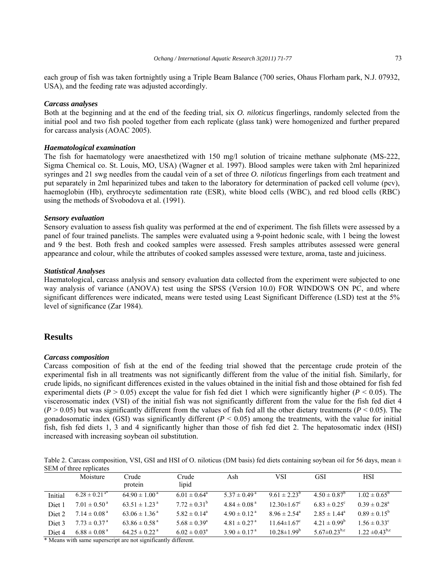each group of fish was taken fortnightly using a Triple Beam Balance (700 series, Ohaus Florham park, N.J. 07932, USA), and the feeding rate was adjusted accordingly.

#### *Carcass analyses*

Both at the beginning and at the end of the feeding trial, six *O. niloticus* fingerlings, randomly selected from the initial pool and two fish pooled together from each replicate (glass tank) were homogenized and further prepared for carcass analysis (AOAC 2005).

### *Haematological examination*

The fish for haematology were anaesthetized with 150 mg/l solution of tricaine methane sulphonate (MS-222, Sigma Chemical co. St. Louis, MO, USA) (Wagner et al. 1997). Blood samples were taken with 2ml heparinized syringes and 21 swg needles from the caudal vein of a set of three *O. niloticus* fingerlings from each treatment and put separately in 2ml heparinized tubes and taken to the laboratory for determination of packed cell volume (pcv), haemoglobin (Hb), erythrocyte sedimentation rate (ESR), white blood cells (WBC), and red blood cells (RBC) using the methods of Svobodova et al. (1991).

#### *Sensory evaluation*

Sensory evaluation to assess fish quality was performed at the end of experiment. The fish fillets were assessed by a panel of four trained panelists. The samples were evaluated using a 9-point hedonic scale, with 1 being the lowest and 9 the best. Both fresh and cooked samples were assessed. Fresh samples attributes assessed were general appearance and colour, while the attributes of cooked samples assessed were texture, aroma, taste and juiciness.

#### *Statistical Analyses*

Haematological, carcass analysis and sensory evaluation data collected from the experiment were subjected to one way analysis of variance (ANOVA) test using the SPSS (Version 10.0) FOR WINDOWS ON PC, and where significant differences were indicated, means were tested using Least Significant Difference (LSD) test at the 5% level of significance (Zar 1984).

## **Results**

#### *Carcass composition*

Carcass composition of fish at the end of the feeding trial showed that the percentage crude protein of the experimental fish in all treatments was not significantly different from the value of the initial fish. Similarly, for crude lipids, no significant differences existed in the values obtained in the initial fish and those obtained for fish fed experimental diets ( $P > 0.05$ ) except the value for fish fed diet 1 which were significantly higher ( $P < 0.05$ ). The viscerosomatic index (VSI) of the initial fish was not significantly different from the value for the fish fed diet 4  $(P > 0.05)$  but was significantly different from the values of fish fed all the other dietary treatments  $(P < 0.05)$ . The gonadosomatic index (GSI) was significantly different  $(P < 0.05)$  among the treatments, with the value for initial fish, fish fed diets 1, 3 and 4 significantly higher than those of fish fed diet 2. The hepatosomatic index (HSI) increased with increasing soybean oil substitution.

Table 2. Carcass composition, VSI, GSI and HSI of O. niloticus (DM basis) fed diets containing soybean oil for 56 days, mean  $\pm$ SEM of three replicates

|                   | Moisture                      | Crude<br>protein              | Crude<br>lipid          | Ash                          | VSI                           | <b>GSI</b>                     | <b>HSI</b>              |
|-------------------|-------------------------------|-------------------------------|-------------------------|------------------------------|-------------------------------|--------------------------------|-------------------------|
| Initial           | $6.28 \pm 0.21$ <sup>a*</sup> | $64.90 \pm 1.00^{\text{ a}}$  | $6.01 \pm 0.64^{\circ}$ | $5.37 \pm 0.49^{\text{ a}}$  | $9.61 \pm 2.23^{b}$           | $4.50 \pm 0.87^{\circ}$        | $1.02 \pm 0.65^{\circ}$ |
| Diet 1            | $7.01 \pm 0.50^{\text{a}}$    | $63.51 \pm 1.23$ <sup>a</sup> | $7.72 \pm 0.31^b$       | $4.84 \pm 0.08$ <sup>a</sup> | $12.30 \pm 1.67$ <sup>c</sup> | $6.83 \pm 0.25^{\circ}$        | $0.39 \pm 0.28^a$       |
| Diet <sub>2</sub> | $7.14 \pm 0.08$ <sup>a</sup>  | $63.06 \pm 1.36^{\text{a}}$   | $5.82 \pm 0.14^{\circ}$ | $4.90 \pm 0.12^{\text{a}}$   | $8.96 \pm 2.54^{\circ}$       | $2.85 \pm 1.44^{\circ}$        | $0.89 \pm 0.15^b$       |
| Diet 3            | $7.73 \pm 0.37$ <sup>a</sup>  | $63.86 \pm 0.58$ <sup>a</sup> | $5.68 \pm 0.39^{\circ}$ | $4.81 \pm 0.27$ <sup>a</sup> | $11.64 \pm 1.67$ <sup>c</sup> | $4.21 \pm 0.99^b$              | $1.56 \pm 0.33^c$       |
| Diet 4            | $6.88 \pm 0.08$ <sup>a</sup>  | $64.25 \pm 0.22$ <sup>a</sup> | $6.02 \pm 0.03^{\circ}$ | $3.90 \pm 0.17^{\text{a}}$   | $10.28 \pm 1.99^b$            | 5.67 $\pm$ 0.23 <sup>b,c</sup> | $1.22 \pm 0.43^{b,c}$   |

\* Means with same superscript are not significantly different.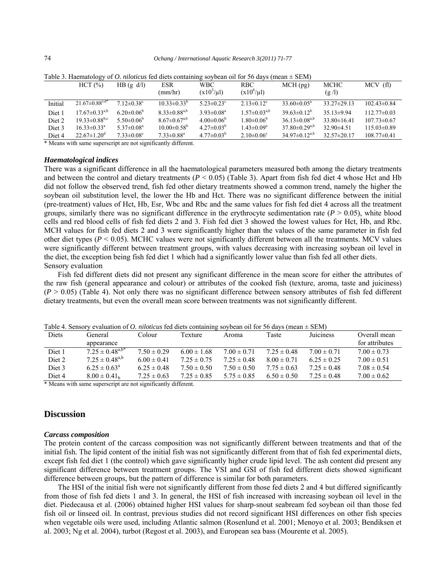|                   | HCT (%)                          | $HB$ (g d/l)                 | ESR<br>(mm/hr)               | WBC.<br>$(x103/\mu l)$       | Twore $\sigma$ . The international properties for the contention of $\sigma$ and $\sigma$ and $\sigma$ (mean $\sigma$ $\sigma$ binded<br>RBC<br>$(x10^6/\mu l)$ | $MCH$ (pg)                      | MCHC<br>(g/l)     | MCV(f)            |
|-------------------|----------------------------------|------------------------------|------------------------------|------------------------------|-----------------------------------------------------------------------------------------------------------------------------------------------------------------|---------------------------------|-------------------|-------------------|
| Initial           | $21.67 \pm 0.88^{\mathrm{c},d*}$ | $712\pm0.38^{\circ}$         | $10.33 \pm 0.33^{b}$         | 5 23 $\pm$ 0 23 <sup>c</sup> | $2.13 \pm 0.12$ <sup>c</sup>                                                                                                                                    | $33.60 \pm 0.05^{\circ}$        | $33.27 \pm 29.13$ | $102.43\pm0.84$   |
| Diet <sub>1</sub> | $17.67 \pm 0.33^{a,b}$           | $6.20 \pm 0.06^b$            | $8.33 \pm 0.88^{a,b}$        | $3.93 \pm 0.08^a$            | $1.57 \pm 0.03^{a,b}$                                                                                                                                           | $39.63\pm0.12^b$                | $35.13 \pm 9.94$  | $112.77\pm0.03$   |
| Diet 2            | $19.33 \pm 0.88^{b,c}$           | 5.50 $\pm$ 0.06 <sup>b</sup> | $8.67 \pm 0.67^{a,b}$        | $4.00 \pm 0.06^b$            | $1.80 \pm 0.06^b$                                                                                                                                               | $36.13 \pm 0.08^{a,b}$          | $33.80 \pm 16.41$ | $107.73 \pm 0.67$ |
| Diet 3            | $16.33 \pm 0.33$ <sup>a</sup>    | $5.37 \pm 0.08^a$            | $10.00 \pm 0.58^{\circ}$     | $4.27 \pm 0.03^b$            | $1.43 \pm 0.09^a$                                                                                                                                               | $37.80 \pm 0.29^{a,b}$          | $32.90\pm4.51$    | $115.03\pm0.89$   |
| Diet 4            | $22.67 \pm 1.20$ <sup>d</sup>    | $7.33 \pm 0.08$ <sup>c</sup> | $7.33 \pm 0.88$ <sup>a</sup> | $4.77 \pm 0.03^b$            | $2.10 \pm 0.06$ <sup>c</sup>                                                                                                                                    | 34.97 $\pm$ 0.12 <sup>a,b</sup> | $32.57 \pm 20.17$ | $108.77\pm0.41$   |

Table 3. Haematology of *O. niloticus* fed diets containing soybean oil for 56 days (mean ± SEM)

\* Means with same superscript are not significantly different.

#### *Haematological indices*

There was a significant difference in all the haematological parameters measured both among the dietary treatments and between the control and dietary treatments ( $P < 0.05$ ) (Table 3). Apart from fish fed diet 4 whose Hct and Hb did not follow the observed trend, fish fed other dietary treatments showed a common trend, namely the higher the soybean oil substitution level, the lower the Hb and Hct. There was no significant difference between the initial (pre-treatment) values of Hct, Hb, Esr, Wbc and Rbc and the same values for fish fed diet 4 across all the treatment groups, similarly there was no significant difference in the erythrocyte sedimentation rate  $(P > 0.05)$ , white blood cells and red blood cells of fish fed diets 2 and 3. Fish fed diet 3 showed the lowest values for Hct, Hb, and Rbc. MCH values for fish fed diets 2 and 3 were significantly higher than the values of the same parameter in fish fed other diet types ( $P < 0.05$ ). MCHC values were not significantly different between all the treatments. MCV values were significantly different between treatment groups, with values decreasing with increasing soybean oil level in the diet, the exception being fish fed diet 1 which had a significantly lower value than fish fed all other diets. Sensory evaluation

Fish fed different diets did not present any significant difference in the mean score for either the attributes of the raw fish (general appearance and colour) or attributes of the cooked fish (texture, aroma, taste and juiciness)  $(P > 0.05)$  (Table 4). Not only there was no significant difference between sensory attributes of fish fed different dietary treatments, but even the overall mean score between treatments was not significantly different.

| Twore it behoof $\gamma$ evaluation of $\sigma$ , <i>http://educase.ou</i> /users/containing/sov/pediff on for 50 days (filedly $\approx$ belong |                              |                 |                 |                 |                 |                  |                 |  |
|--------------------------------------------------------------------------------------------------------------------------------------------------|------------------------------|-----------------|-----------------|-----------------|-----------------|------------------|-----------------|--|
| <b>Diets</b>                                                                                                                                     | General                      | Colour          | Texture         | Aroma           | Taste           | <b>Juiciness</b> | Overall mean    |  |
|                                                                                                                                                  | appearance                   |                 |                 |                 |                 |                  | for attributes  |  |
| Diet 1                                                                                                                                           | $7.25 \pm 0.48^{a,b*}$       | $7.50 \pm 0.29$ | $6.00 \pm 1.68$ | $7.00 \pm 0.71$ | $7.25 \pm 0.48$ | $7.00 \pm 0.71$  | $7.00 \pm 0.73$ |  |
| Diet 2                                                                                                                                           | $7.25 \pm 0.48^{a,b}$        | $6.00 \pm 0.41$ | $7.25 \pm 0.75$ | $7.25 \pm 0.48$ | $8.00 \pm 0.71$ | $6.25 \pm 0.25$  | $7.00 \pm 0.51$ |  |
| Diet 3                                                                                                                                           | $6.25 \pm 0.63^{\circ}$      | $6.25 \pm 0.48$ | $7.50 \pm 0.50$ | $7.50 \pm 0.50$ | $7.75 \pm 0.63$ | $7.25 \pm 0.48$  | $7.08 \pm 0.54$ |  |
| Diet 4                                                                                                                                           | $8.00 \pm 0.41$ <sub>h</sub> | $7.25 \pm 0.63$ | $7.25 \pm 0.85$ | $5.75 \pm 0.85$ | $6.50 \pm 0.50$ | $7.25 \pm 0.48$  | $7.00 \pm 0.62$ |  |

Table 4. Sensory evaluation of *O. niloticus* fed diets containing soybean oil for 56 days (mean ± SEM)

\* Means with same superscript are not significantly different.

# **Discussion**

#### *Carcass composition*

The protein content of the carcass composition was not significantly different between treatments and that of the initial fish. The lipid content of the initial fish was not significantly different from that of fish fed experimental diets, except fish fed diet 1 (the control) which gave significantly higher crude lipid level. The ash content did present any significant difference between treatment groups. The VSI and GSI of fish fed different diets showed significant difference between groups, but the pattern of difference is similar for both parameters.

The HSI of the initial fish were not significantly different from those fed diets 2 and 4 but differed significantly from those of fish fed diets 1 and 3. In general, the HSI of fish increased with increasing soybean oil level in the diet. Piedecausa et al. (2006) obtained higher HSI values for sharp-snout seabream fed soybean oil than those fed fish oil or linseed oil. In contrast, previous studies did not record significant HSI differences on other fish species when vegetable oils were used, including Atlantic salmon (Rosenlund et al. 2001; Menoyo et al. 2003; Bendiksen et al. 2003; Ng et al. 2004), turbot (Regost et al. 2003), and European sea bass (Mourente et al. 2005).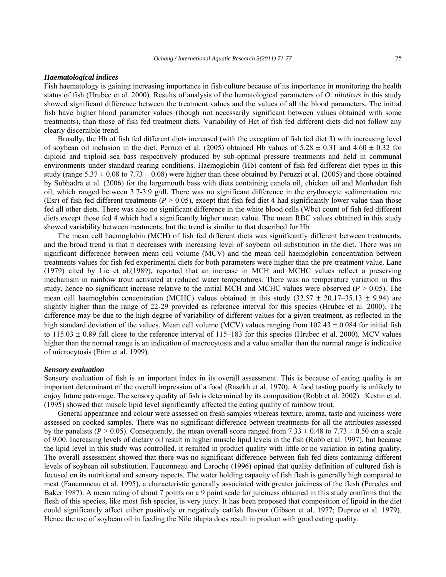#### *Haematological indices*

Fish haematology is gaining increasing importance in fish culture because of its importance in monitoring the health status of fish (Hrubec et al. 2000). Results of analysis of the hematological parameters of *O. niloticus* in this study showed significant difference between the treatment values and the values of all the blood parameters. The initial fish have higher blood parameter values (though not necessarily significant between values obtained with some treatments), than those of fish fed treatment diets. Variability of Hct of fish fed different diets did not follow any clearly discernible trend.

Broadly, the Hb of fish fed different diets increased (with the exception of fish fed diet 3) with increasing level of soybean oil inclusion in the diet. Perruzi et al. (2005) obtained Hb values of  $5.28 \pm 0.31$  and  $4.60 \pm 0.32$  for diploid and triploid sea bass respectively produced by sub-optimal pressure treatments and held in communal environments under standard rearing conditions. Haemoglobin (Hb) content of fish fed different diet types in this study (range  $5.37 \pm 0.08$  to  $7.73 \pm 0.08$ ) were higher than those obtained by Peruzzi et al. (2005) and those obtained by Subhadra et al. (2006) for the largemouth bass with diets containing canola oil, chicken oil and Menhaden fish oil, which ranged between 3.7-3.9 g/dl. There was no significant difference in the erythrocyte sedimentation rate (Esr) of fish fed different treatments ( $P > 0.05$ ), except that fish fed diet 4 had significantly lower value than those fed all other diets. There was also no significant difference in the white blood cells (Wbc) count of fish fed different diets except those fed 4 which had a significantly higher mean value. The mean RBC values obtained in this study showed variability between treatments, but the trend is similar to that described for Hb.

 The mean cell haemoglobin (MCH) of fish fed different diets was significantly different between treatments, and the broad trend is that it decreases with increasing level of soybean oil substitution in the diet. There was no significant difference between mean cell volume (MCV) and the mean cell haemoglobin concentration between treatments values for fish fed experimental diets for both parameters were higher than the pre-treatment value. Lane (1979) cited by Lie et al*.*(1989), reported that an increase in MCH and MCHC values reflect a preserving mechanism in rainbow trout activated at reduced water temperatures. There was no temperature variation in this study, hence no significant increase relative to the initial MCH and MCHC values were observed  $(P > 0.05)$ . The mean cell haemoglobin concentration (MCHC) values obtained in this study  $(32.57 \pm 20.17-35.13 \pm 9.94)$  are slightly higher than the range of 22-29 provided as reference interval for this species (Hrubec et al. 2000). The difference may be due to the high degree of variability of different values for a given treatment, as reflected in the high standard deviation of the values. Mean cell volume (MCV) values ranging from  $102.43 \pm 0.084$  for initial fish to  $115.03 \pm 0.89$  fall close to the reference interval of 115–183 for this species (Hrubec et al. 2000). MCV values higher than the normal range is an indication of macrocytosis and a value smaller than the normal range is indicative of microcytosis (Etim et al. 1999).

#### *Sensory evaluation*

Sensory evaluation of fish is an important index in its overall assessment. This is because of eating quality is an important determinant of the overall impression of a food (Rasekh et al. 1970). A food tasting poorly is unlikely to enjoy future patronage. The sensory quality of fish is determined by its composition (Robb et al. 2002). Kestin et al. (1995) showed that muscle lipid level significantly affected the eating quality of rainbow trout.

General appearance and colour were assessed on fresh samples whereas texture, aroma, taste and juiciness were assessed on cooked samples. There was no significant difference between treatments for all the attributes assessed by the panelists ( $P > 0.05$ ). Consequently, the mean overall score ranged from 7.33  $\pm$  0.48 to 7.73  $\pm$  0.50 on a scale of 9.00. Increasing levels of dietary oil result in higher muscle lipid levels in the fish (Robb et al. 1997), but because the lipid level in this study was controlled, it resulted in product quality with little or no variation in eating quality. The overall assessment showed that there was no significant difference between fish fed diets containing different levels of soybean oil substitution. Fauconneau and Laroche (1996) opined that quality definition of cultured fish is focused on its nutritional and sensory aspects. The water holding capacity of fish flesh is generally high compared to meat (Fauconneau et al. 1995), a characteristic generally associated with greater juiciness of the flesh (Paredes and Baker 1987). A mean rating of about 7 points on a 9 point scale for juiciness obtained in this study confirms that the flesh of this species, like most fish species, is very juicy. It has been proposed that composition of lipoid in the diet could significantly affect either positively or negatively catfish flavour (Gibson et al. 1977; Dupree et al. 1979). Hence the use of soybean oil in feeding the Nile tilapia does result in product with good eating quality.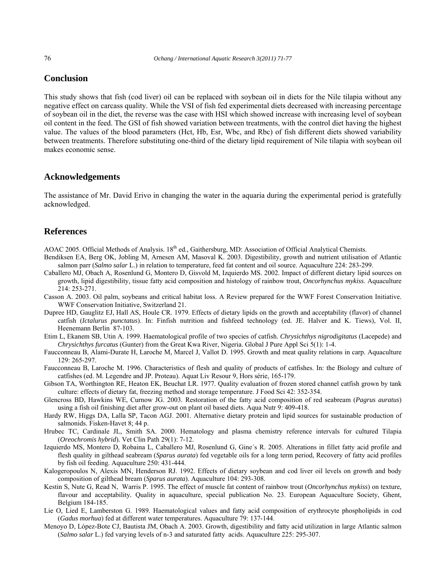# **Conclusion**

This study shows that fish (cod liver) oil can be replaced with soybean oil in diets for the Nile tilapia without any negative effect on carcass quality. While the VSI of fish fed experimental diets decreased with increasing percentage of soybean oil in the diet, the reverse was the case with HSI which showed increase with increasing level of soybean oil content in the feed. The GSI of fish showed variation between treatments, with the control diet having the highest value. The values of the blood parameters (Hct, Hb, Esr, Wbc, and Rbc) of fish different diets showed variability between treatments. Therefore substituting one-third of the dietary lipid requirement of Nile tilapia with soybean oil makes economic sense.

# **Acknowledgements**

The assistance of Mr. David Erivo in changing the water in the aquaria during the experimental period is gratefully acknowledged.

# **References**

AOAC 2005. Official Methods of Analysis. 18<sup>th</sup> ed., Gaithersburg, MD: Association of Official Analytical Chemists.

- Bendiksen EA, Berg OK, Jobling M, Arnesen AM, Masoval K. 2003. Digestibility, growth and nutrient utilisation of Atlantic salmon parr (*Salmo salar* L.) in relation to temperature, feed fat content and oil source. Aquaculture 224: 283-299.
- Caballero MJ, Obach A, Rosenlund G, Montero D, Gisvold M, Izquierdo MS. 2002. Impact of different dietary lipid sources on growth, lipid digestibility, tissue fatty acid composition and histology of rainbow trout, *Oncorhynchus mykiss*. Aquaculture 214: 253-271.
- Casson A. 2003. Oil palm, soybeans and critical habitat loss. A Review prepared for the WWF Forest Conservation Initiative. WWF Conservation Initiative, Switzerland 21.
- Dupree HD, Gauglitz EJ, Hall AS, Houle CR. 1979. Effects of dietary lipids on the growth and acceptability (flavor) of channel catfish (*Ictalurus punctatus*). In: Finfish nutrition and fishfeed technology (ed. JE. Halver and K. Tiews), Vol. II, Heenemann Berlin 87-103.
- Etim L, Ekanem SB, Utin A. 1999. Haematological profile of two species of catfish. *Chrysichthys nigrodigitatus* (Lacepede) and *Chrysichthys furcatus* (Gunter) from the Great Kwa River, Nigeria. Global J Pure Appl Sci 5(1): 1-4.
- Faucconneau B, Alami-Durate H, Laroche M, Marcel J, Vallot D. 1995. Growth and meat quality relations in carp. Aquaculture 129: 265-297.
- Faucconneau B, Laroche M. 1996. Characteristics of flesh and quality of products of catfishes. In: the Biology and culture of catfishes (ed. M. Legendre and JP. Proteau). Aquat Liv Resour 9, Hors série, 165-179.
- Gibson TA, Worthington RE, Heaton EK, Beuchat LR. 1977. Quality evaluation of frozen stored channel catfish grown by tank culture: effects of dietary fat, freezing method and storage temperature. J Food Sci 42: 352-354.
- Glencross BD, Hawkins WE, Curnow JG. 2003. Restoration of the fatty acid composition of red seabream (*Pagrus auratus*) using a fish oil finishing diet after grow-out on plant oil based diets. Aqua Nutr 9: 409-418.
- Hardy RW, Higgs DA, Lalla SP, Tacon AGJ. 2001. Alternative dietary protein and lipid sources for sustainable production of salmonids. Fisken-Havet 8; 44 p.
- Hrubec TC, Cardinale JL, Smith SA. 2000. Hematology and plasma chemistry reference intervals for cultured Tilapia (*Oreochromis hybrid*)*.* Vet Clin Path 29(1): 7-12.
- Izquierdo MS, Montero D, Robaina L, Caballero MJ, Rosenlund G, Gine´s R. 2005. Alterations in fillet fatty acid profile and flesh quality in gilthead seabream (*Sparus aurata*) fed vegetable oils for a long term period, Recovery of fatty acid profiles by fish oil feeding. Aquaculture 250: 431-444.
- Kalogeropoulos N, Alexis MN, Henderson RJ. 1992. Effects of dietary soybean and cod liver oil levels on growth and body composition of gilthead bream (*Sparus aurata*). Aquaculture 104: 293-308.
- Kestin S, Nute G, Read N, Warris P. 1995. The effect of muscle fat content of rainbow trout (*Oncorhynchus mykiss*) on texture, flavour and acceptability. Quality in aquaculture, special publication No. 23. European Aquaculture Society, Ghent, Belgium 184-185.
- Lie O, Lied E, Lamberston G. 1989. Haematological values and fatty acid composition of erythrocyte phospholipids in cod (*Gadus morhua*) fed at different water temperatures. Aquaculture 79: 137-144.
- Menoyo D, López-Bote CJ, Bautista JM, Obach A. 2003. Growth, digestibility and fatty acid utilization in large Atlantic salmon (*Salmo salar* L.) fed varying levels of n-3 and saturated fatty acids. Aquaculture 225: 295-307.